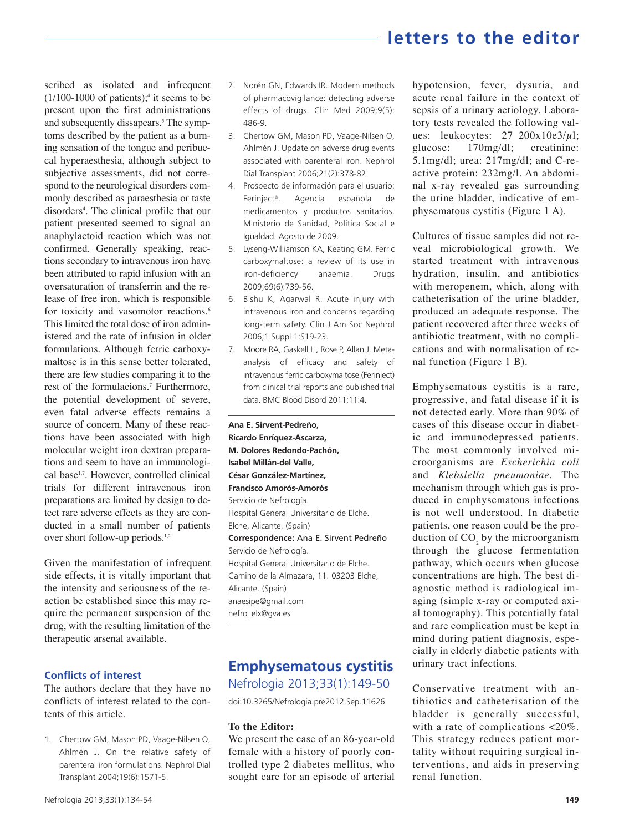# **letters to the editor**

scribed as isolated and infrequent  $(1/100-1000)$  of patients);<sup>4</sup> it seems to be present upon the first administrations and subsequently dissapears.<sup>5</sup> The symptoms described by the patient as a burning sensation of the tongue and peribuccal hyperaesthesia, although subject to subjective assessments, did not correspond to the neurological disorders commonly described as paraesthesia or taste disorders<sup>4</sup>. The clinical profile that our patient presented seemed to signal an anaphylactoid reaction which was not confirmed. Generally speaking, reactions secondary to intravenous iron have been attributed to rapid infusion with an oversaturation of transferrin and the release of free iron, which is responsible for toxicity and vasomotor reactions.<sup>6</sup> This limited the total dose of iron administered and the rate of infusion in older formulations. Although ferric carboxymaltose is in this sense better tolerated, there are few studies comparing it to the rest of the formulacions.<sup>7</sup> Furthermore, the potential development of severe, even fatal adverse effects remains a source of concern. Many of these reactions have been associated with high molecular weight iron dextran preparations and seem to have an immunological base1,7. However, controlled clinical trials for different intravenous iron preparations are limited by design to detect rare adverse effects as they are conducted in a small number of patients over short follow-up periods.<sup>1,2</sup>

Given the manifestation of infrequent side effects, it is vitally important that the intensity and seriousness of the reaction be established since this may require the permanent suspension of the drug, with the resulting limitation of the therapeutic arsenal available.

### **Conflicts of interest**

The authors declare that they have no conflicts of interest related to the contents of this article.

1. Chertow GM, Mason PD, Vaage-Nilsen O, Ahlmén J. On the relative safety of parenteral iron formulations. Nephrol Dial Transplant 2004;19(6):1571-5.

- 2. Norén GN, Edwards IR. Modern methods of pharmacovigilance: detecting adverse effects of drugs. Clin Med 2009;9(5): 486-9.
- 3. Chertow GM, Mason PD, Vaage-Nilsen O, Ahlmén J. Update on adverse drug events associated with parenteral iron. Nephrol Dial Transplant 2006;21(2):378-82.
- 4. Prospecto de información para el usuario: Ferinject® . Agencia española de medicamentos y productos sanitarios. Ministerio de Sanidad, Política Social e Igualdad. Agosto de 2009.
- 5. Lyseng-Williamson KA, Keating GM. Ferric carboxymaltose: a review of its use in iron-deficiency anaemia. Drugs 2009;69(6):739-56.
- 6. Bishu K, Agarwal R. Acute injury with intravenous iron and concerns regarding long-term safety. Clin J Am Soc Nephrol 2006;1 Suppl 1:S19-23.
- 7. Moore RA, Gaskell H, Rose P, Allan J. Metaanalysis of efficacy and safety of intravenous ferric carboxymaltose (Ferinject) from clinical trial reports and published trial data. BMC Blood Disord 2011;11:4.

**Ana E. Sirvent-Pedreño, Ricardo Enríquez-Ascarza, M. Dolores Redondo-Pachón, Isabel Millán-del Valle, César González-Martínez, Francisco Amorós-Amorós** Servicio de Nefrología. Hospital General Universitario de Elche. Elche, Alicante. (Spain) **Correspondence:** Ana E. Sirvent Pedreño Servicio de Nefrología. Hospital General Universitario de Elche. Camino de la Almazara, 11. 03203 Elche, Alicante. (Spain) anaesipe@gmail.com nefro\_elx@gva.es

### **Emphysematous cystitis**

Nefrologia 2013;33(1):149-50

doi:10.3265/Nefrologia.pre2012.Sep.11626

#### **To the Editor:**

We present the case of an 86-year-old female with a history of poorly controlled type 2 diabetes mellitus, who sought care for an episode of arterial

hypotension, fever, dysuria, and acute renal failure in the context of sepsis of a urinary aetiology. Laboratory tests revealed the following values: leukocytes:  $27 \frac{200x10e3}{\mu}$ ; glucose: 170mg/dl; creatinine: 5.1mg/dl; urea: 217mg/dl; and C-reactive protein: 232mg/l. An abdominal x-ray revealed gas surrounding the urine bladder, indicative of emphysematous cystitis (Figure 1 A).

Cultures of tissue samples did not reveal microbiological growth. We started treatment with intravenous hydration, insulin, and antibiotics with meropenem, which, along with catheterisation of the urine bladder, produced an adequate response. The patient recovered after three weeks of antibiotic treatment, with no complications and with normalisation of renal function (Figure 1 B).

Emphysematous cystitis is a rare, progressive, and fatal disease if it is not detected early. More than 90% of cases of this disease occur in diabetic and immunodepressed patients. The most commonly involved microorganisms are *Escherichia coli* and *Klebsiella pneumoniae.* The mechanism through which gas is produced in emphysematous infections is not well understood. In diabetic patients, one reason could be the production of  $CO<sub>2</sub>$  by the microorganism through the glucose fermentation pathway, which occurs when glucose concentrations are high. The best diagnostic method is radiological imaging (simple x-ray or computed axial tomography). This potentially fatal and rare complication must be kept in mind during patient diagnosis, especially in elderly diabetic patients with urinary tract infections.

Conservative treatment with antibiotics and catheterisation of the bladder is generally successful, with a rate of complications <20%. This strategy reduces patient mortality without requiring surgical interventions, and aids in preserving renal function.